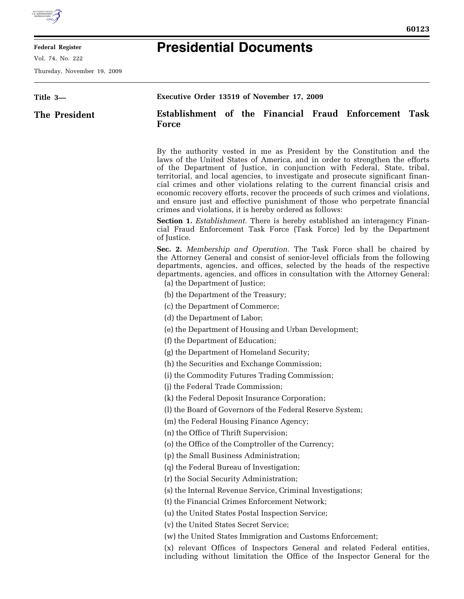

## **Federal Register**

Vol. 74, No. 222

Thursday, November 19, 2009

▀

## **Presidential Documents**

| Title 3- |               | Executive Order 13519 of November 17, 2009                                                                                                                                                                                                                                                                                                                                                                                                                                                                                                                                                                                          |
|----------|---------------|-------------------------------------------------------------------------------------------------------------------------------------------------------------------------------------------------------------------------------------------------------------------------------------------------------------------------------------------------------------------------------------------------------------------------------------------------------------------------------------------------------------------------------------------------------------------------------------------------------------------------------------|
|          | The President | Establishment of the Financial Fraud Enforcement Task<br><b>Force</b>                                                                                                                                                                                                                                                                                                                                                                                                                                                                                                                                                               |
|          |               | By the authority vested in me as President by the Constitution and the<br>laws of the United States of America, and in order to strengthen the efforts<br>of the Department of Justice, in conjunction with Federal, State, tribal,<br>territorial, and local agencies, to investigate and prosecute significant finan-<br>cial crimes and other violations relating to the current financial crisis and<br>economic recovery efforts, recover the proceeds of such crimes and violations,<br>and ensure just and effective punishment of those who perpetrate financial<br>crimes and violations, it is hereby ordered as follows: |
|          |               | <b>Section 1.</b> <i>Establishment</i> . There is hereby established an interagency Finan-<br>cial Fraud Enforcement Task Force (Task Force) led by the Department<br>of Justice.                                                                                                                                                                                                                                                                                                                                                                                                                                                   |
|          |               | <b>Sec. 2.</b> Membership and Operation. The Task Force shall be chaired by<br>the Attorney General and consist of senior-level officials from the following<br>departments, agencies, and offices, selected by the heads of the respective<br>departments, agencies, and offices in consultation with the Attorney General:<br>(a) the Department of Justice;                                                                                                                                                                                                                                                                      |
|          |               | (b) the Department of the Treasury;                                                                                                                                                                                                                                                                                                                                                                                                                                                                                                                                                                                                 |
|          |               | (c) the Department of Commerce;                                                                                                                                                                                                                                                                                                                                                                                                                                                                                                                                                                                                     |
|          |               | (d) the Department of Labor;                                                                                                                                                                                                                                                                                                                                                                                                                                                                                                                                                                                                        |
|          |               | (e) the Department of Housing and Urban Development;                                                                                                                                                                                                                                                                                                                                                                                                                                                                                                                                                                                |
|          |               | (f) the Department of Education;                                                                                                                                                                                                                                                                                                                                                                                                                                                                                                                                                                                                    |
|          |               | (g) the Department of Homeland Security;                                                                                                                                                                                                                                                                                                                                                                                                                                                                                                                                                                                            |
|          |               | (h) the Securities and Exchange Commission;                                                                                                                                                                                                                                                                                                                                                                                                                                                                                                                                                                                         |
|          |               | (i) the Commodity Futures Trading Commission;                                                                                                                                                                                                                                                                                                                                                                                                                                                                                                                                                                                       |
|          |               | (j) the Federal Trade Commission;                                                                                                                                                                                                                                                                                                                                                                                                                                                                                                                                                                                                   |
|          |               | (k) the Federal Deposit Insurance Corporation;                                                                                                                                                                                                                                                                                                                                                                                                                                                                                                                                                                                      |
|          |               | (1) the Board of Governors of the Federal Reserve System;                                                                                                                                                                                                                                                                                                                                                                                                                                                                                                                                                                           |
|          |               | (m) the Federal Housing Finance Agency;                                                                                                                                                                                                                                                                                                                                                                                                                                                                                                                                                                                             |
|          |               | (n) the Office of Thrift Supervision;                                                                                                                                                                                                                                                                                                                                                                                                                                                                                                                                                                                               |
|          |               | (o) the Office of the Comptroller of the Currency;                                                                                                                                                                                                                                                                                                                                                                                                                                                                                                                                                                                  |
|          |               | (p) the Small Business Administration;                                                                                                                                                                                                                                                                                                                                                                                                                                                                                                                                                                                              |
|          |               | (q) the Federal Bureau of Investigation;                                                                                                                                                                                                                                                                                                                                                                                                                                                                                                                                                                                            |
|          |               | (r) the Social Security Administration;                                                                                                                                                                                                                                                                                                                                                                                                                                                                                                                                                                                             |
|          |               | (s) the Internal Revenue Service, Criminal Investigations;                                                                                                                                                                                                                                                                                                                                                                                                                                                                                                                                                                          |
|          |               | (t) the Financial Crimes Enforcement Network;                                                                                                                                                                                                                                                                                                                                                                                                                                                                                                                                                                                       |
|          |               | (u) the United States Postal Inspection Service;                                                                                                                                                                                                                                                                                                                                                                                                                                                                                                                                                                                    |
|          |               | (v) the United States Secret Service;                                                                                                                                                                                                                                                                                                                                                                                                                                                                                                                                                                                               |
|          |               | (w) the United States Immigration and Customs Enforcement;                                                                                                                                                                                                                                                                                                                                                                                                                                                                                                                                                                          |
|          |               | (x) relevant Offices of Inspectors General and related Federal entities,<br>including without limitation the Office of the Inspector General for the                                                                                                                                                                                                                                                                                                                                                                                                                                                                                |
|          |               |                                                                                                                                                                                                                                                                                                                                                                                                                                                                                                                                                                                                                                     |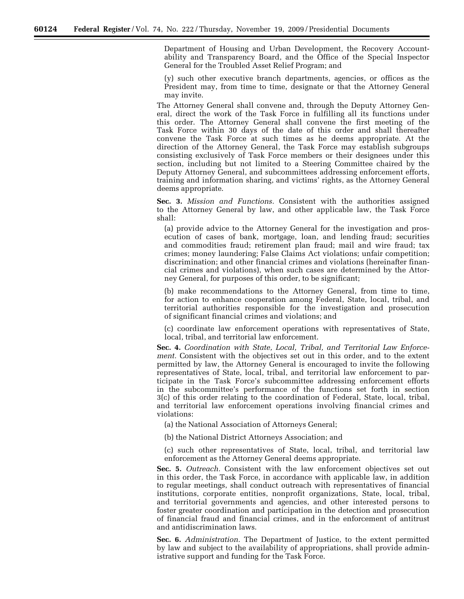Department of Housing and Urban Development, the Recovery Accountability and Transparency Board, and the Office of the Special Inspector General for the Troubled Asset Relief Program; and

(y) such other executive branch departments, agencies, or offices as the President may, from time to time, designate or that the Attorney General may invite.

The Attorney General shall convene and, through the Deputy Attorney General, direct the work of the Task Force in fulfilling all its functions under this order. The Attorney General shall convene the first meeting of the Task Force within 30 days of the date of this order and shall thereafter convene the Task Force at such times as he deems appropriate. At the direction of the Attorney General, the Task Force may establish subgroups consisting exclusively of Task Force members or their designees under this section, including but not limited to a Steering Committee chaired by the Deputy Attorney General, and subcommittees addressing enforcement efforts, training and information sharing, and victims' rights, as the Attorney General deems appropriate.

**Sec. 3.** *Mission and Functions.* Consistent with the authorities assigned to the Attorney General by law, and other applicable law, the Task Force shall:

(a) provide advice to the Attorney General for the investigation and prosecution of cases of bank, mortgage, loan, and lending fraud; securities and commodities fraud; retirement plan fraud; mail and wire fraud; tax crimes; money laundering; False Claims Act violations; unfair competition; discrimination; and other financial crimes and violations (hereinafter financial crimes and violations), when such cases are determined by the Attorney General, for purposes of this order, to be significant;

(b) make recommendations to the Attorney General, from time to time, for action to enhance cooperation among Federal, State, local, tribal, and territorial authorities responsible for the investigation and prosecution of significant financial crimes and violations; and

(c) coordinate law enforcement operations with representatives of State, local, tribal, and territorial law enforcement.

**Sec. 4.** *Coordination with State, Local, Tribal, and Territorial Law Enforcement.* Consistent with the objectives set out in this order, and to the extent permitted by law, the Attorney General is encouraged to invite the following representatives of State, local, tribal, and territorial law enforcement to participate in the Task Force's subcommittee addressing enforcement efforts in the subcommittee's performance of the functions set forth in section 3(c) of this order relating to the coordination of Federal, State, local, tribal, and territorial law enforcement operations involving financial crimes and violations:

(a) the National Association of Attorneys General;

(b) the National District Attorneys Association; and

(c) such other representatives of State, local, tribal, and territorial law enforcement as the Attorney General deems appropriate.

**Sec. 5.** *Outreach.* Consistent with the law enforcement objectives set out in this order, the Task Force, in accordance with applicable law, in addition to regular meetings, shall conduct outreach with representatives of financial institutions, corporate entities, nonprofit organizations, State, local, tribal, and territorial governments and agencies, and other interested persons to foster greater coordination and participation in the detection and prosecution of financial fraud and financial crimes, and in the enforcement of antitrust and antidiscrimination laws.

**Sec. 6.** *Administration.* The Department of Justice, to the extent permitted by law and subject to the availability of appropriations, shall provide administrative support and funding for the Task Force.